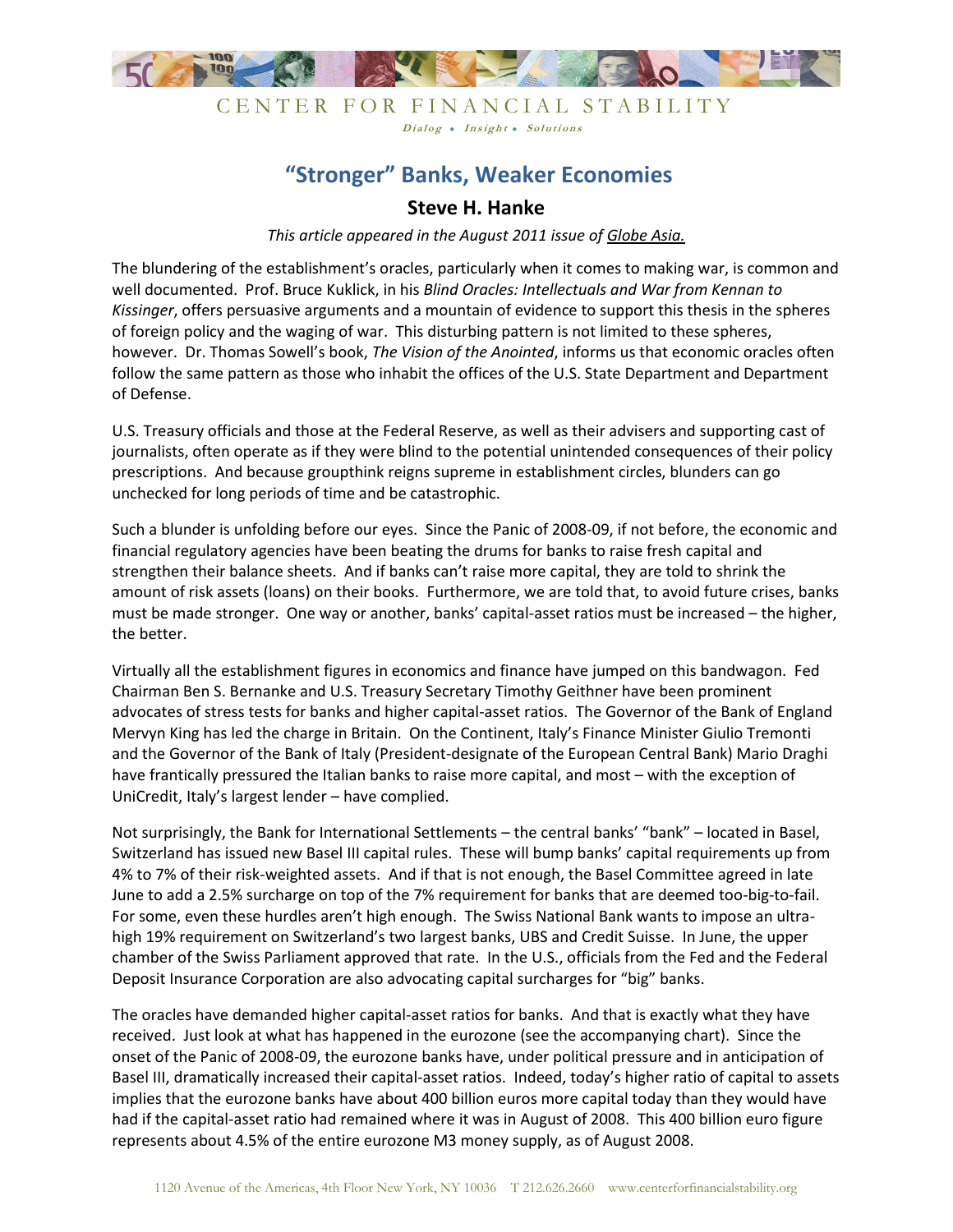

### CENTER FOR FINANCIAL STABILITY Dialog • Insight • Solutions

# **"Stronger" Banks, Weaker Economies**

## **Steve H. Hanke**

*This article appeared in the August 2011 issue of Globe Asia.*

The blundering of the establishment's oracles, particularly when it comes to making war, is common and well documented. Prof. Bruce Kuklick, in his *Blind Oracles: Intellectuals and War from Kennan to Kissinger*, offers persuasive arguments and a mountain of evidence to support this thesis in the spheres of foreign policy and the waging of war. This disturbing pattern is not limited to these spheres, however. Dr. Thomas Sowell's book, *The Vision of the Anointed*, informs us that economic oracles often follow the same pattern as those who inhabit the offices of the U.S. State Department and Department of Defense.

U.S. Treasury officials and those at the Federal Reserve, as well as their advisers and supporting cast of journalists, often operate as if they were blind to the potential unintended consequences of their policy prescriptions. And because groupthink reigns supreme in establishment circles, blunders can go unchecked for long periods of time and be catastrophic.

Such a blunder is unfolding before our eyes. Since the Panic of 2008-09, if not before, the economic and financial regulatory agencies have been beating the drums for banks to raise fresh capital and strengthen their balance sheets. And if banks can't raise more capital, they are told to shrink the amount of risk assets (loans) on their books. Furthermore, we are told that, to avoid future crises, banks must be made stronger. One way or another, banks' capital-asset ratios must be increased – the higher, the better.

Virtually all the establishment figures in economics and finance have jumped on this bandwagon. Fed Chairman Ben S. Bernanke and U.S. Treasury Secretary Timothy Geithner have been prominent advocates of stress tests for banks and higher capital-asset ratios. The Governor of the Bank of England Mervyn King has led the charge in Britain. On the Continent, Italy's Finance Minister Giulio Tremonti and the Governor of the Bank of Italy (President-designate of the European Central Bank) Mario Draghi have frantically pressured the Italian banks to raise more capital, and most – with the exception of UniCredit, Italy's largest lender – have complied.

Not surprisingly, the Bank for International Settlements – the central banks' "bank" – located in Basel, Switzerland has issued new Basel III capital rules. These will bump banks' capital requirements up from 4% to 7% of their risk-weighted assets. And if that is not enough, the Basel Committee agreed in late June to add a 2.5% surcharge on top of the 7% requirement for banks that are deemed too-big-to-fail. For some, even these hurdles aren't high enough. The Swiss National Bank wants to impose an ultrahigh 19% requirement on Switzerland's two largest banks, UBS and Credit Suisse. In June, the upper chamber of the Swiss Parliament approved that rate. In the U.S., officials from the Fed and the Federal Deposit Insurance Corporation are also advocating capital surcharges for "big" banks.

The oracles have demanded higher capital-asset ratios for banks. And that is exactly what they have received. Just look at what has happened in the eurozone (see the accompanying chart). Since the onset of the Panic of 2008-09, the eurozone banks have, under political pressure and in anticipation of Basel III, dramatically increased their capital-asset ratios. Indeed, today's higher ratio of capital to assets implies that the eurozone banks have about 400 billion euros more capital today than they would have had if the capital-asset ratio had remained where it was in August of 2008. This 400 billion euro figure represents about 4.5% of the entire eurozone M3 money supply, as of August 2008.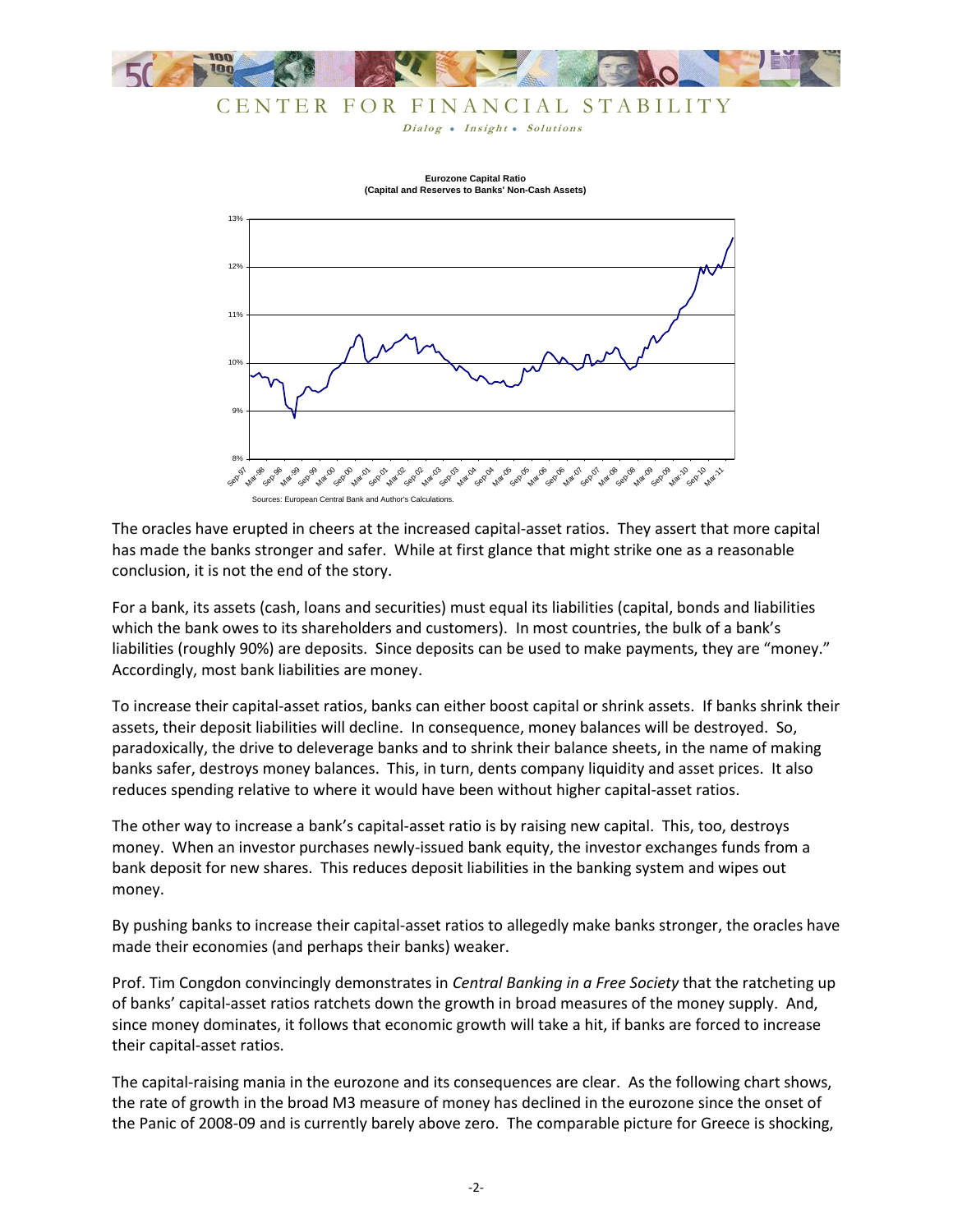

# CENTER FOR FINANCIAL STABILITY

Dialog . Insight . Solutions



**(Capital and Reserves to Banks' Non-Cash Assets)**

The oracles have erupted in cheers at the increased capital-asset ratios. They assert that more capital has made the banks stronger and safer. While at first glance that might strike one as a reasonable conclusion, it is not the end of the story.

For a bank, its assets (cash, loans and securities) must equal its liabilities (capital, bonds and liabilities which the bank owes to its shareholders and customers). In most countries, the bulk of a bank's liabilities (roughly 90%) are deposits. Since deposits can be used to make payments, they are "money." Accordingly, most bank liabilities are money.

To increase their capital-asset ratios, banks can either boost capital or shrink assets. If banks shrink their assets, their deposit liabilities will decline. In consequence, money balances will be destroyed. So, paradoxically, the drive to deleverage banks and to shrink their balance sheets, in the name of making banks safer, destroys money balances. This, in turn, dents company liquidity and asset prices. It also reduces spending relative to where it would have been without higher capital-asset ratios.

The other way to increase a bank's capital-asset ratio is by raising new capital. This, too, destroys money. When an investor purchases newly-issued bank equity, the investor exchanges funds from a bank deposit for new shares. This reduces deposit liabilities in the banking system and wipes out money.

By pushing banks to increase their capital-asset ratios to allegedly make banks stronger, the oracles have made their economies (and perhaps their banks) weaker.

Prof. Tim Congdon convincingly demonstrates in *Central Banking in a Free Society* that the ratcheting up of banks' capital-asset ratios ratchets down the growth in broad measures of the money supply. And, since money dominates, it follows that economic growth will take a hit, if banks are forced to increase their capital-asset ratios.

The capital-raising mania in the eurozone and its consequences are clear. As the following chart shows, the rate of growth in the broad M3 measure of money has declined in the eurozone since the onset of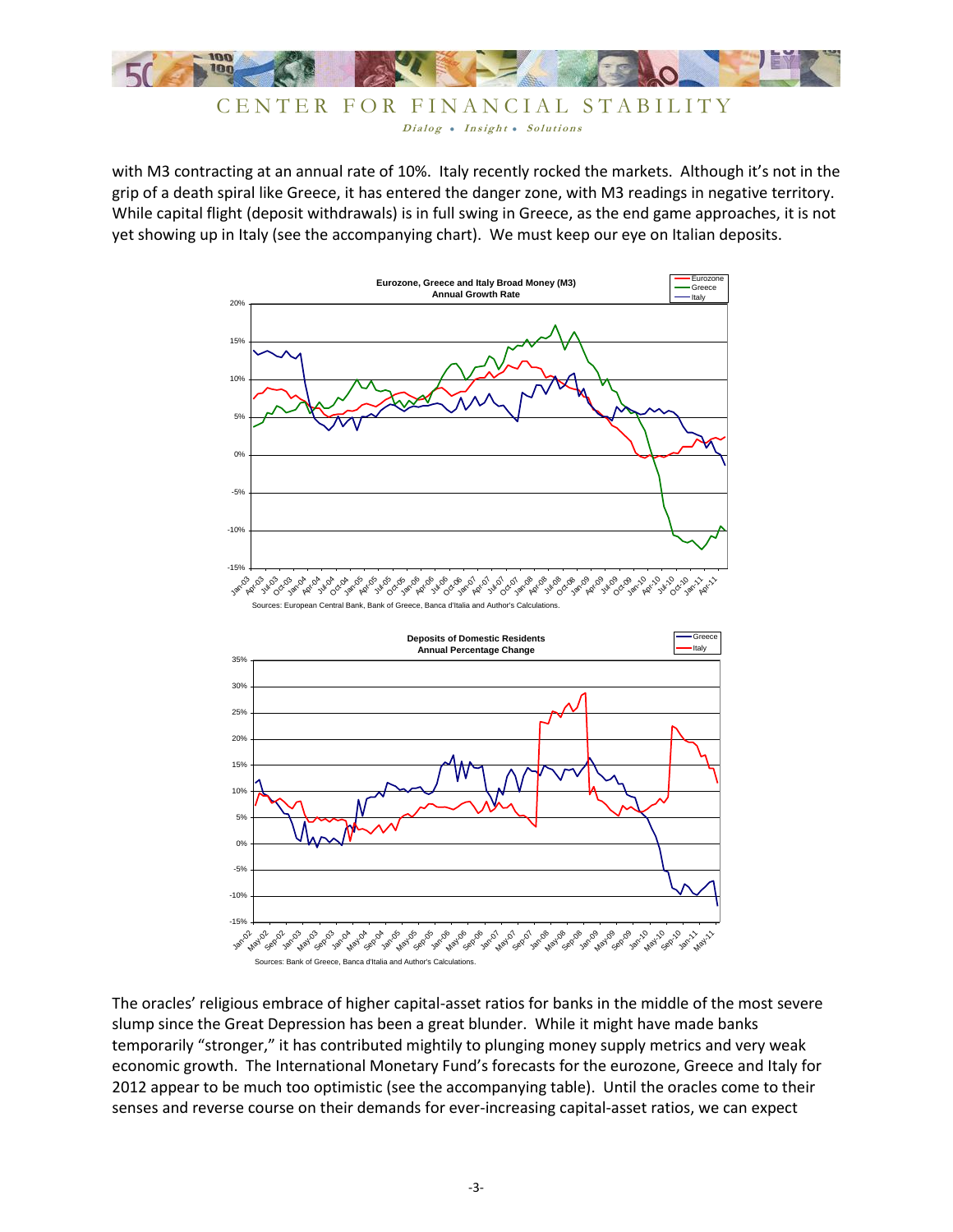![](_page_2_Picture_0.jpeg)

![](_page_2_Figure_1.jpeg)

with M3 contracting at an annual rate of 10%. Italy recently rocked the markets. Although it's not in the grip of a death spiral like Greece, it has entered the danger zone, with M3 readings in negative territory. While capital flight (deposit withdrawals) is in full swing in Greece, as the end game approaches, it is not yet showing up in Italy (see the accompanying chart). We must keep our eye on Italian deposits.

![](_page_2_Figure_3.jpeg)

The oracles' religious embrace of higher capital-asset ratios for banks in the middle of the most severe slump since the Great Depression has been a great blunder. While it might have made banks temporarily "stronger," it has contributed mightily to plunging money supply metrics and very weak economic growth. The International Monetary Fund's forecasts for the eurozone, Greece and Italy for 2012 appear to be much too optimistic (see the accompanying table). Until the oracles come to their senses and reverse course on their demands for ever-increasing capital-asset ratios, we can expect